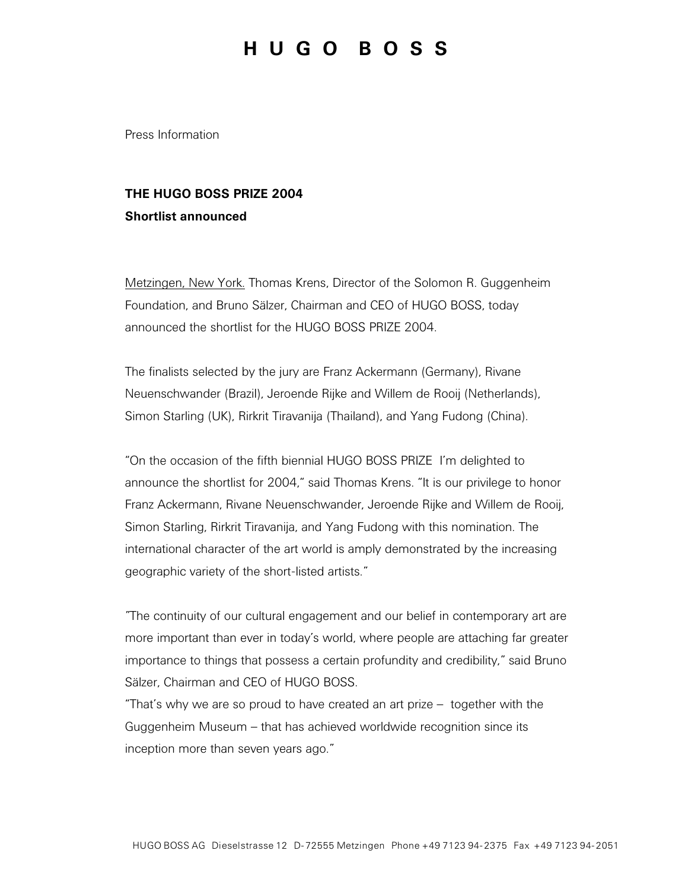## **H U G O B O S S**

Press Information

## **THE HUGO BOSS PRIZE 2004 Shortlist announced**

Metzingen, New York. Thomas Krens, Director of the Solomon R. Guggenheim Foundation, and Bruno Sälzer, Chairman and CEO of HUGO BOSS, today announced the shortlist for the HUGO BOSS PRIZE 2004.

The finalists selected by the jury are Franz Ackermann (Germany), Rivane Neuenschwander (Brazil), Jeroende Rijke and Willem de Rooij (Netherlands), Simon Starling (UK), Rirkrit Tiravanija (Thailand), and Yang Fudong (China).

"On the occasion of the fifth biennial HUGO BOSS PRIZE I'm delighted to announce the shortlist for 2004," said Thomas Krens. "It is our privilege to honor Franz Ackermann, Rivane Neuenschwander, Jeroende Rijke and Willem de Rooij, Simon Starling, Rirkrit Tiravanija, and Yang Fudong with this nomination. The international character of the art world is amply demonstrated by the increasing geographic variety of the short-listed artists."

"The continuity of our cultural engagement and our belief in contemporary art are more important than ever in today's world, where people are attaching far greater importance to things that possess a certain profundity and credibility," said Bruno Sälzer, Chairman and CEO of HUGO BOSS.

"That's why we are so proud to have created an art prize – together with the Guggenheim Museum – that has achieved worldwide recognition since its inception more than seven years ago."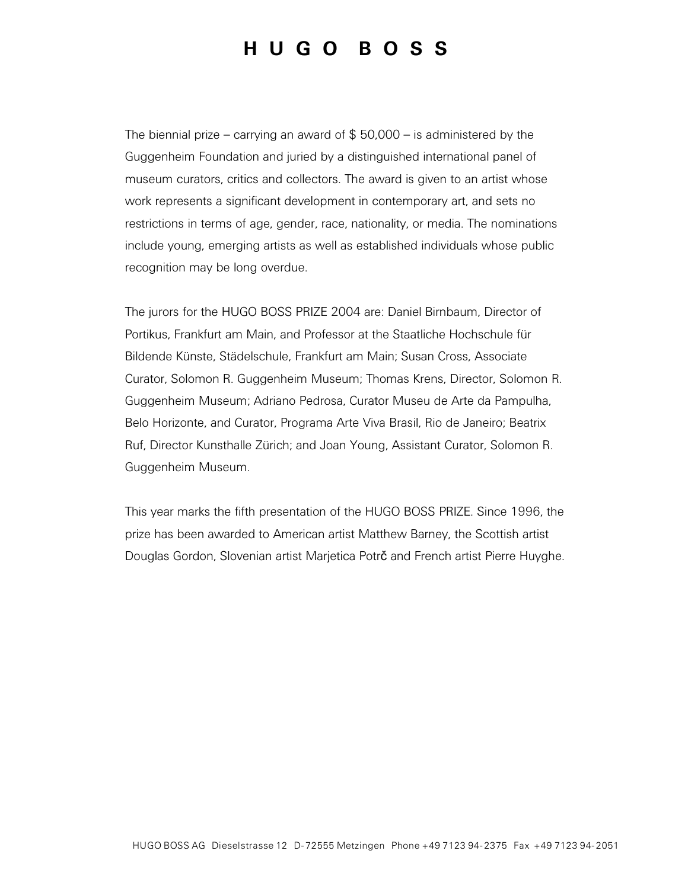## **H U G O B O S S**

The biennial prize – carrying an award of  $$50,000 - is$  administered by the Guggenheim Foundation and juried by a distinguished international panel of museum curators, critics and collectors. The award is given to an artist whose work represents a significant development in contemporary art, and sets no restrictions in terms of age, gender, race, nationality, or media. The nominations include young, emerging artists as well as established individuals whose public recognition may be long overdue.

The jurors for the HUGO BOSS PRIZE 2004 are: Daniel Birnbaum, Director of Portikus, Frankfurt am Main, and Professor at the Staatliche Hochschule für Bildende Künste, Städelschule, Frankfurt am Main; Susan Cross, Associate Curator, Solomon R. Guggenheim Museum; Thomas Krens, Director, Solomon R. Guggenheim Museum; Adriano Pedrosa, Curator Museu de Arte da Pampulha, Belo Horizonte, and Curator, Programa Arte Viva Brasil, Rio de Janeiro; Beatrix Ruf, Director Kunsthalle Zürich; and Joan Young, Assistant Curator, Solomon R. Guggenheim Museum.

This year marks the fifth presentation of the HUGO BOSS PRIZE. Since 1996, the prize has been awarded to American artist Matthew Barney, the Scottish artist Douglas Gordon, Slovenian artist Marjetica Potrč and French artist Pierre Huyghe.